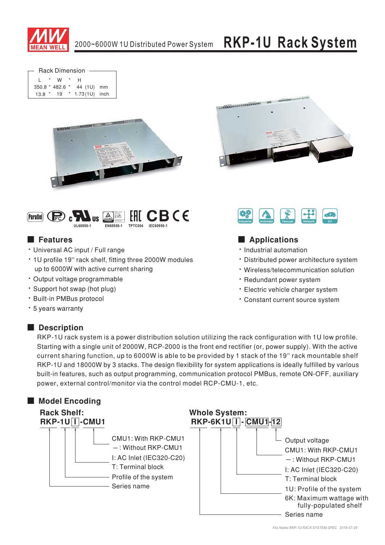

**Rack Dimension**  $\star$   $\sim$  1*M*  $\star$ 

|               |                 | . .             |  |
|---------------|-----------------|-----------------|--|
|               | 350.8 * 482.6 * | 44 (1U) mm      |  |
| $13.8$ $*$ 19 |                 | * 1.73(1U) inch |  |







## **Executer** Features

- · Universal AC input / Full range
- 1U profile 19" rack shelf, fitting three 2000W modules up to 6000W with active current sharing
- · Output voltage programmable
- · Support hot swap (hot plug)
- \* Built-in PMBus protocol
- \* 5 years warranty

## Description



## Applications

- · Industrial automation
- Distributed power architecture system
- · Wireless/telecommunication solution
- · Redundant power system
- · Electric vehicle charger system
- \* Constant current source system

RKP-1U rack system is a power distribution solution utilizing the rack configuration with 1U low profile. Starting with a single unit of 2000W, RCP-2000 is the front end rectifier (or, power supply). With the active current sharing function, up to 6000W is able to be provided by 1 stack of the 19" rack mountable shelf RKP-1U and 18000W by 3 stacks. The design flexibility for system applications is ideally fulfilled by various built-in features, such as output programming, communication protocol PMBus, remote ON-OFF, auxiliary power, external control/monitor via the control model RCP-CMU-1, etc.

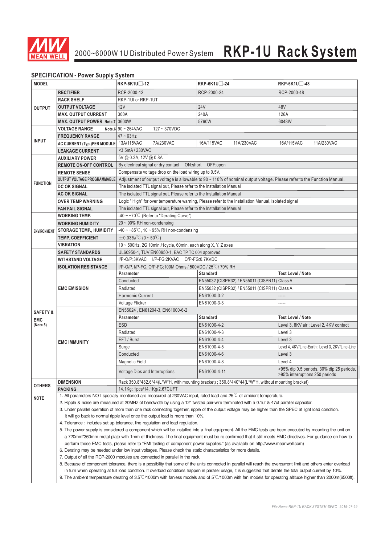

## 2000~6000W 1U Distributed Power System **RKP-1U Rack System**

### **SPECIFICATION - Power Supply System**

| <b>MODEL</b>        | , Lon lorn lon - 1 onor capply         | $RKP-6K1U$ -12                                                                                                                                                                                                                                                                                                                                                                                                                                                                                                                                                      | RKP-6K1U -24                                                                                                                  | $RKP-6K1U$ -48                                                              |  |
|---------------------|----------------------------------------|---------------------------------------------------------------------------------------------------------------------------------------------------------------------------------------------------------------------------------------------------------------------------------------------------------------------------------------------------------------------------------------------------------------------------------------------------------------------------------------------------------------------------------------------------------------------|-------------------------------------------------------------------------------------------------------------------------------|-----------------------------------------------------------------------------|--|
|                     | <b>RECTIFIER</b>                       | RCP-2000-12                                                                                                                                                                                                                                                                                                                                                                                                                                                                                                                                                         | RCP-2000-24                                                                                                                   | RCP-2000-48                                                                 |  |
|                     | <b>RACK SHELF</b>                      | RKP-1UI or RKP-1UT                                                                                                                                                                                                                                                                                                                                                                                                                                                                                                                                                  |                                                                                                                               |                                                                             |  |
| <b>OUTPUT</b>       |                                        |                                                                                                                                                                                                                                                                                                                                                                                                                                                                                                                                                                     |                                                                                                                               |                                                                             |  |
|                     | <b>OUTPUT VOLTAGE</b>                  | 12V                                                                                                                                                                                                                                                                                                                                                                                                                                                                                                                                                                 | <b>24V</b>                                                                                                                    | 48V                                                                         |  |
|                     | <b>MAX. OUTPUT CURRENT</b>             | 300A                                                                                                                                                                                                                                                                                                                                                                                                                                                                                                                                                                | 240A                                                                                                                          | 126A                                                                        |  |
|                     | MAX. OUTPUT POWER Note.7 3600W         |                                                                                                                                                                                                                                                                                                                                                                                                                                                                                                                                                                     | 5760W                                                                                                                         | 6048W                                                                       |  |
|                     | <b>VOLTAGE RANGE</b>                   | Note.6 $90 - 264$ VAC<br>$127 - 370VDC$                                                                                                                                                                                                                                                                                                                                                                                                                                                                                                                             |                                                                                                                               |                                                                             |  |
| <b>INPUT</b>        | <b>FREQUENCY RANGE</b>                 | $47 \sim 63$ Hz                                                                                                                                                                                                                                                                                                                                                                                                                                                                                                                                                     |                                                                                                                               |                                                                             |  |
|                     | AC CURRENT (Typ.)PER MODULE 13A/115VAC | 7A/230VAC                                                                                                                                                                                                                                                                                                                                                                                                                                                                                                                                                           | 16A/115VAC<br>11A/230VAC                                                                                                      | 16A/115VAC<br>11A/230VAC                                                    |  |
|                     | <b>LEAKAGE CURRENT</b>                 | <3.5mA/230VAC                                                                                                                                                                                                                                                                                                                                                                                                                                                                                                                                                       |                                                                                                                               |                                                                             |  |
|                     | <b>AUXILIARY POWER</b>                 | 5V @ 0.3A, 12V @ 0.8A                                                                                                                                                                                                                                                                                                                                                                                                                                                                                                                                               |                                                                                                                               |                                                                             |  |
|                     | <b>REMOTE ON-OFF CONTROL</b>           | By electrical signal or dry contact  ON:short  OFF:open                                                                                                                                                                                                                                                                                                                                                                                                                                                                                                             |                                                                                                                               |                                                                             |  |
|                     | <b>REMOTE SENSE</b>                    | Compensate voltage drop on the load wiring up to 0.5V.                                                                                                                                                                                                                                                                                                                                                                                                                                                                                                              |                                                                                                                               |                                                                             |  |
| <b>FUNCTION</b>     | <b>OUTPUT VOLTAGE PROGRAMMABLE</b>     | Adjustment of output voltage is allowable to 90 ~ 110% of nominal output voltage. Please refer to the Function Manual.                                                                                                                                                                                                                                                                                                                                                                                                                                              |                                                                                                                               |                                                                             |  |
|                     | DC OK SIGNAL                           | The isolated TTL signal out, Please refer to the Installation Manual                                                                                                                                                                                                                                                                                                                                                                                                                                                                                                |                                                                                                                               |                                                                             |  |
|                     | <b>AC OK SIGNAL</b>                    | The isolated TTL signal out, Please refer to the Installation Manual                                                                                                                                                                                                                                                                                                                                                                                                                                                                                                |                                                                                                                               |                                                                             |  |
|                     | <b>OVER TEMP WARNING</b>               | Logic "High" for over temperature warning, Please refer to the Installation Manual, isolated signal                                                                                                                                                                                                                                                                                                                                                                                                                                                                 |                                                                                                                               |                                                                             |  |
|                     | <b>FAN FAIL SIGNAL</b>                 | The isolated TTL signal out, Please refer to the Installation Manual                                                                                                                                                                                                                                                                                                                                                                                                                                                                                                |                                                                                                                               |                                                                             |  |
|                     | <b>WORKING TEMP.</b>                   | $-40 \sim +70^{\circ}$ (Refer to "Derating Curve")                                                                                                                                                                                                                                                                                                                                                                                                                                                                                                                  |                                                                                                                               |                                                                             |  |
|                     | <b>WORKING HUMIDITY</b>                | $20 \sim 90\%$ RH non-condensing                                                                                                                                                                                                                                                                                                                                                                                                                                                                                                                                    |                                                                                                                               |                                                                             |  |
| <b>ENVIRONMENT</b>  | <b>STORAGE TEMP., HUMIDITY</b>         | $-40 \sim +85^{\circ}$ C, 10 ~ 95% RH non-condensing                                                                                                                                                                                                                                                                                                                                                                                                                                                                                                                |                                                                                                                               |                                                                             |  |
|                     | <b>TEMP. COEFFICIENT</b>               | $\pm$ 0.03%/°C (0 ~ 50°C)                                                                                                                                                                                                                                                                                                                                                                                                                                                                                                                                           |                                                                                                                               |                                                                             |  |
|                     | <b>VIBRATION</b>                       | $10 \sim 500$ Hz, 2G 10min./1cycle, 60min. each along X, Y, Z axes                                                                                                                                                                                                                                                                                                                                                                                                                                                                                                  |                                                                                                                               |                                                                             |  |
|                     | <b>SAFETY STANDARDS</b>                | UL60950-1, TUV EN60950-1, EAC TP TC 004 approved                                                                                                                                                                                                                                                                                                                                                                                                                                                                                                                    |                                                                                                                               |                                                                             |  |
|                     | <b>WITHSTAND VOLTAGE</b>               | I/P-O/P:3KVAC I/P-FG:2KVAC O/P-FG:0.7KVDC                                                                                                                                                                                                                                                                                                                                                                                                                                                                                                                           |                                                                                                                               |                                                                             |  |
|                     | <b>ISOLATION RESISTANCE</b>            | I/P-O/P, I/P-FG, O/P-FG:100M Ohms / 500VDC / 25 °C / 70% RH                                                                                                                                                                                                                                                                                                                                                                                                                                                                                                         |                                                                                                                               |                                                                             |  |
|                     |                                        | <b>Parameter</b>                                                                                                                                                                                                                                                                                                                                                                                                                                                                                                                                                    | <b>Standard</b>                                                                                                               | <b>Test Level / Note</b>                                                    |  |
|                     |                                        | Conducted                                                                                                                                                                                                                                                                                                                                                                                                                                                                                                                                                           | EN55032 (CISPR32) / EN55011 (CISPR11) Class A                                                                                 |                                                                             |  |
|                     | <b>EMC EMISSION</b>                    | Radiated                                                                                                                                                                                                                                                                                                                                                                                                                                                                                                                                                            | EN55032 (CISPR32) / EN55011 (CISPR11) Class A                                                                                 |                                                                             |  |
|                     |                                        | <b>Harmonic Current</b>                                                                                                                                                                                                                                                                                                                                                                                                                                                                                                                                             | EN61000-3-2                                                                                                                   | -----                                                                       |  |
|                     |                                        | Voltage Flicker                                                                                                                                                                                                                                                                                                                                                                                                                                                                                                                                                     | EN61000-3-3                                                                                                                   | .                                                                           |  |
| <b>SAFETY &amp;</b> |                                        | EN55024, EN61204-3, EN61000-6-2                                                                                                                                                                                                                                                                                                                                                                                                                                                                                                                                     |                                                                                                                               |                                                                             |  |
| <b>EMC</b>          |                                        | <b>Parameter</b>                                                                                                                                                                                                                                                                                                                                                                                                                                                                                                                                                    | <b>Standard</b>                                                                                                               | <b>Test Level / Note</b>                                                    |  |
| (Note 5)            | <b>EMC IMMUNITY</b>                    | <b>ESD</b>                                                                                                                                                                                                                                                                                                                                                                                                                                                                                                                                                          | EN61000-4-2                                                                                                                   | Level 3, 8KV air ; Level 2, 4KV contact                                     |  |
|                     |                                        | Radiated                                                                                                                                                                                                                                                                                                                                                                                                                                                                                                                                                            | EN61000-4-3                                                                                                                   | Level 3                                                                     |  |
|                     |                                        | EFT / Burst                                                                                                                                                                                                                                                                                                                                                                                                                                                                                                                                                         | EN61000-4-4                                                                                                                   | Level 3                                                                     |  |
|                     |                                        | Surge                                                                                                                                                                                                                                                                                                                                                                                                                                                                                                                                                               | EN61000-4-5                                                                                                                   | Level 4, 4KV/Line-Earth ; Level 3, 2KV/Line-Line                            |  |
|                     |                                        | Conducted                                                                                                                                                                                                                                                                                                                                                                                                                                                                                                                                                           | EN61000-4-6                                                                                                                   | Level 3                                                                     |  |
|                     |                                        | <b>Magnetic Field</b>                                                                                                                                                                                                                                                                                                                                                                                                                                                                                                                                               | EN61000-4-8                                                                                                                   | Level 4                                                                     |  |
|                     |                                        | Voltage Dips and Interruptions                                                                                                                                                                                                                                                                                                                                                                                                                                                                                                                                      | EN61000-4-11                                                                                                                  | >95% dip 0.5 periods, 30% dip 25 periods,<br>>95% interruptions 250 periods |  |
|                     | <b>DIMENSION</b>                       |                                                                                                                                                                                                                                                                                                                                                                                                                                                                                                                                                                     | Rack 350.8*482.6*44(L*W*H, with mounting bracket) ; 350.8*440*44(L*W*H, without mounting bracket)                             |                                                                             |  |
| <b>OTHERS</b>       | <b>PACKING</b>                         | 14.1Kg; 1pcs/14.1Kg/2.67CUFT                                                                                                                                                                                                                                                                                                                                                                                                                                                                                                                                        |                                                                                                                               |                                                                             |  |
| <b>NOTE</b>         |                                        |                                                                                                                                                                                                                                                                                                                                                                                                                                                                                                                                                                     | 1. All parameters NOT specially mentioned are measured at 230VAC input, rated load and $25^{\circ}$ C of ambient temperature. |                                                                             |  |
|                     |                                        | 2. Ripple & noise are measured at 20MHz of bandwidth by using a 12" twisted pair-wire terminated with a 0.1uf & 47uf parallel capacitor.<br>3. Under parallel operation of more than one rack connecting together, ripple of the output voltage may be higher than the SPEC at light load condition.<br>It will go back to normal ripple level once the output load is more than 10%.                                                                                                                                                                               |                                                                                                                               |                                                                             |  |
|                     |                                        |                                                                                                                                                                                                                                                                                                                                                                                                                                                                                                                                                                     |                                                                                                                               |                                                                             |  |
|                     |                                        |                                                                                                                                                                                                                                                                                                                                                                                                                                                                                                                                                                     |                                                                                                                               |                                                                             |  |
|                     |                                        | 4. Tolerance: includes set up tolerance, line regulation and load regulation.                                                                                                                                                                                                                                                                                                                                                                                                                                                                                       |                                                                                                                               |                                                                             |  |
|                     |                                        | 5. The power supply is considered a component which will be installed into a final equipment. All the EMC tests are been executed by mounting the unit on<br>a 720mm*360mm metal plate with 1mm of thickness. The final equipment must be re-confirmed that it still meets EMC directives. For guidance on how to<br>perform these EMC tests, please refer to "EMI testing of component power supplies." (as available on http://www.meanwell.com)<br>6. Derating may be needed under low input voltages. Please check the static characteristics for more details. |                                                                                                                               |                                                                             |  |
|                     |                                        |                                                                                                                                                                                                                                                                                                                                                                                                                                                                                                                                                                     |                                                                                                                               |                                                                             |  |
|                     |                                        |                                                                                                                                                                                                                                                                                                                                                                                                                                                                                                                                                                     |                                                                                                                               |                                                                             |  |
|                     |                                        |                                                                                                                                                                                                                                                                                                                                                                                                                                                                                                                                                                     |                                                                                                                               |                                                                             |  |
|                     |                                        | 7. Output of all the RCP-2000 modules are connected in parallel in the rack.<br>8. Because of component tolerance, there is a possibility that some of the units connected in parallel will reach the overcurrent limit and others enter overload                                                                                                                                                                                                                                                                                                                   |                                                                                                                               |                                                                             |  |
|                     |                                        |                                                                                                                                                                                                                                                                                                                                                                                                                                                                                                                                                                     |                                                                                                                               |                                                                             |  |
|                     |                                        | in turn when operating at full load condition. If overload conditions happen in parallel usage, it is suggested that derate the total output current by 10%.<br>9. The ambient temperature derating of $3.5^{\circ}$ C/1000m with fanless models and of $5^{\circ}$ C/1000m with fan models for operating altitude higher than 2000m(6500ft).                                                                                                                                                                                                                       |                                                                                                                               |                                                                             |  |
|                     |                                        |                                                                                                                                                                                                                                                                                                                                                                                                                                                                                                                                                                     |                                                                                                                               |                                                                             |  |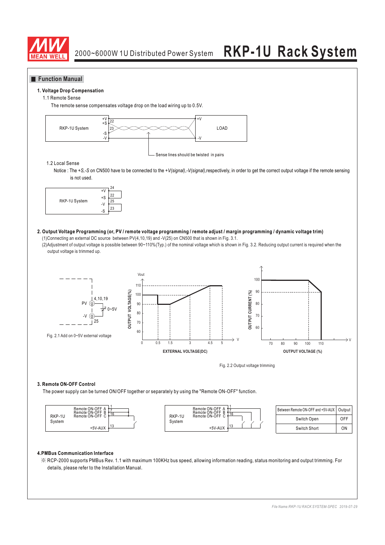

### **Function Manual**

#### **1. Voltage Drop Compensation**

#### 1.1 Remote Sense

The remote sense compensates voltage drop on the load wiring up to 0.5V.



#### 1.2 Local Sense

Notice : The +S,-S on CN500 have to be connected to the +V(signal),-V(signal),respectively, in order to get the correct output voltage if the remote sensing is not used.



#### **2. Output Voltage Programming (or, PV / remote voltage programming / remote adjust / margin programming / dynamic voltage trim)** (1)Connecting an external DC source between PV(4,10,19) and -V(25) on CN500 that is shown in Fig. 3.1.

(2)Adjustment of output voltage is possible between 90~110%(Typ.) of the nominal voltage which is shown in Fig. 3.2. Reducing output current is required when the output voltage is trimmed up.



#### **3. Remote ON-OFF Control**

The power supply can be turned ON/OFF together or separately by using the "Remote ON-OFF" function.



| Between Remote ON-OFF and +5V-AUX   Output |     |
|--------------------------------------------|-----|
| Switch Open                                | OFF |
| Switch Short                               | ΩN  |

#### **4.PMBus Communication Interface**

※ RCP-2000 supports PMBus Rev. 1.1 with maximum 100KHz bus speed, allowing information reading, status monitoring and output trimming. For details, please refer to the Installation Manual.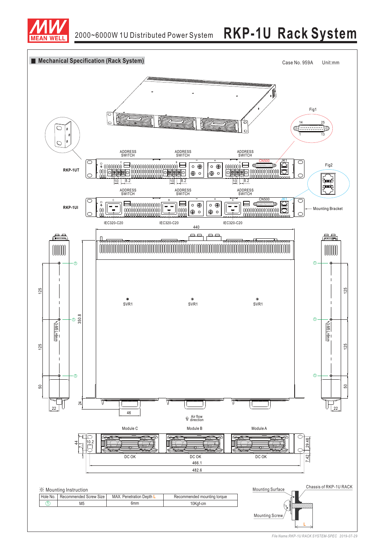

# 2000~6000W 1U Distributed Power System **RKP-1U Rack System**



*File Name:RKP-1U RACK SYSTEM-SPEC 07-29 2019-*